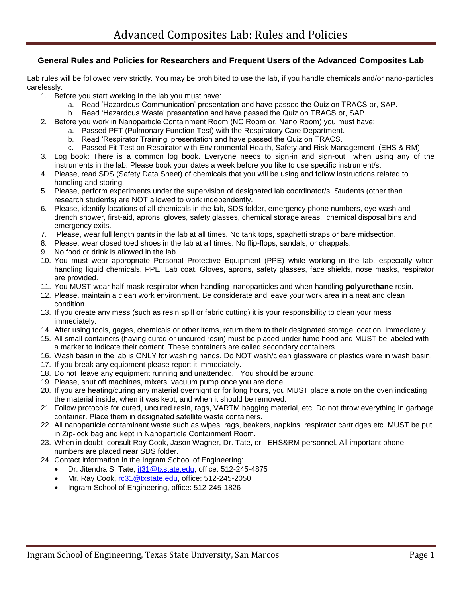## **General Rules and Policies for Researchers and Frequent Users of the Advanced Composites Lab**

Lab rules will be followed very strictly. You may be prohibited to use the lab, if you handle chemicals and/or nano-particles carelessly.

- 1. Before you start working in the lab you must have:
	- a. Read 'Hazardous Communication' presentation and have passed the Quiz on TRACS or, SAP.
	- b. Read 'Hazardous Waste' presentation and have passed the Quiz on TRACS or, SAP.
- 2. Before you work in Nanoparticle Containment Room (NC Room or, Nano Room) you must have:
	- a. Passed PFT (Pulmonary Function Test) with the Respiratory Care Department.
	- b. Read 'Respirator Training' presentation and have passed the Quiz on TRACS.
	- c. Passed Fit-Test on Respirator with Environmental Health, Safety and Risk Management (EHS & RM)
- 3. Log book: There is a common log book. Everyone needs to sign-in and sign-out when using any of the instruments in the lab. Please book your dates a week before you like to use specific instrument/s.
- 4. Please, read SDS (Safety Data Sheet) of chemicals that you will be using and follow instructions related to handling and storing.
- 5. Please, perform experiments under the supervision of designated lab coordinator/s. Students (other than research students) are NOT allowed to work independently.
- 6. Please, identify locations of all chemicals in the lab, SDS folder, emergency phone numbers, eye wash and drench shower, first-aid, aprons, gloves, safety glasses, chemical storage areas, chemical disposal bins and emergency exits.
- 7. Please, wear full length pants in the lab at all times. No tank tops, spaghetti straps or bare midsection.
- 8. Please, wear closed toed shoes in the lab at all times. No flip-flops, sandals, or chappals.
- 9. No food or drink is allowed in the lab.
- 10. You must wear appropriate Personal Protective Equipment (PPE) while working in the lab, especially when handling liquid chemicals. PPE: Lab coat, Gloves, aprons, safety glasses, face shields, nose masks, respirator are provided.
- 11. You MUST wear half-mask respirator when handling nanoparticles and when handling **polyurethane** resin.
- 12. Please, maintain a clean work environment. Be considerate and leave your work area in a neat and clean condition.
- 13. If you create any mess (such as resin spill or fabric cutting) it is your responsibility to clean your mess immediately.
- 14. After using tools, gages, chemicals or other items, return them to their designated storage location immediately.
- 15. All small containers (having cured or uncured resin) must be placed under fume hood and MUST be labeled with a marker to indicate their content. These containers are called secondary containers.
- 16. Wash basin in the lab is ONLY for washing hands. Do NOT wash/clean glassware or plastics ware in wash basin.
- 17. If you break any equipment please report it immediately.
- 18. Do not leave any equipment running and unattended. You should be around.
- 19. Please, shut off machines, mixers, vacuum pump once you are done.
- 20. If you are heating/curing any material overnight or for long hours, you MUST place a note on the oven indicating the material inside, when it was kept, and when it should be removed.
- 21. Follow protocols for cured, uncured resin, rags, VARTM bagging material, etc. Do not throw everything in garbage container. Place them in designated satellite waste containers.
- 22. All nanoparticle contaminant waste such as wipes, rags, beakers, napkins, respirator cartridges etc. MUST be put in Zip-lock bag and kept in Nanoparticle Containment Room.
- 23. When in doubt, consult Ray Cook, Jason Wagner, Dr. Tate, or EHS&RM personnel. All important phone numbers are placed near SDS folder.
- 24. Contact information in the Ingram School of Engineering:
	- Dr. Jitendra S. Tate, [jt31@txstate.edu,](mailto:jt31@txstate.edu) office: 512-245-4875
	- Mr. Ray Cook, [rc31@txstate.edu,](mailto:rc31@txstate.edu) office: 512-245-2050
	- Ingram School of Engineering, office: 512-245-1826